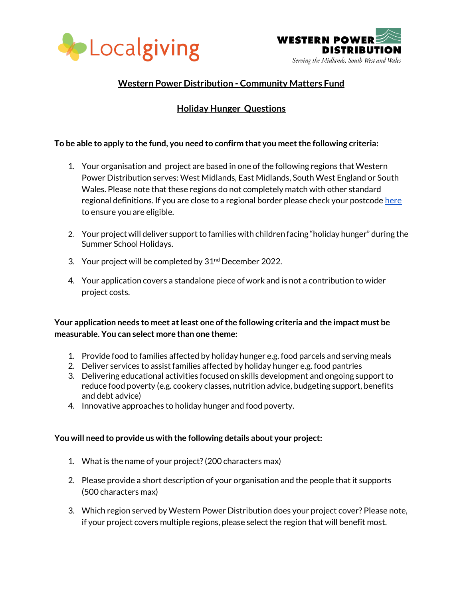



## **Western Power Distribution - Community Matters Fund**

# **Holiday Hunger Questions**

### **To be able to apply to the fund, you need to confirm that you meet the following criteria:**

- 1. Your organisation and project are based in one of the following regions that Western Power Distribution serves: West Midlands, East Midlands, South West England or South Wales. Please note that these regions do not completely match with other standard regional definitions. If you are close to a regional border please check your postcod[e here](https://www.westernpower.co.uk/our-network/distribution-area-search) to ensure you are eligible.
- 2. Your project will deliver support to families with children facing "holiday hunger" during the Summer School Holidays.
- 3. Your project will be completed by  $31<sup>nd</sup>$  December 2022.
- 4. Your application covers a standalone piece of work and is not a contribution to wider project costs.

**Your application needs to meet at least one of the following criteria and the impact must be measurable. You can select more than one theme:**

- 1. Provide food to families affected by holiday hunger e.g. food parcels and serving meals
- 2. Deliver services to assist families affected by holiday hunger e.g. food pantries
- 3. Delivering educational activities focused on skills development and ongoing support to reduce food poverty (e.g. cookery classes, nutrition advice, budgeting support, benefits and debt advice)
- 4. Innovative approaches to holiday hunger and food poverty.

### **You will need to provide us with the following details about your project:**

- 1. What is the name of your project? (200 characters max)
- 2. Please provide a short description of your organisation and the people that it supports (500 characters max)
- 3. Which region served by Western Power Distribution does your project cover? Please note, if your project covers multiple regions, please select the region that will benefit most.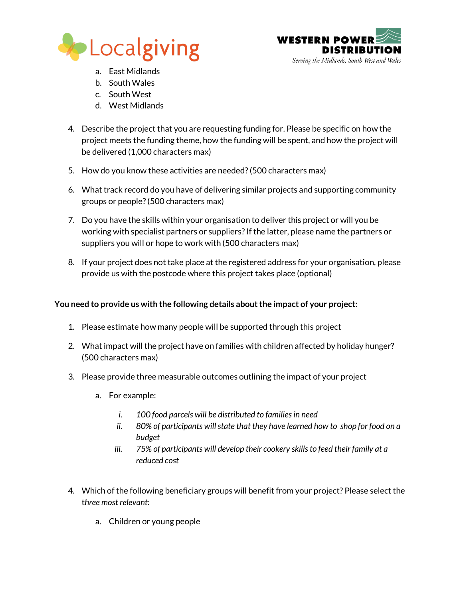



- a. East Midlands
- b. South Wales
- c. South West
- d. West Midlands
- 4. Describe the project that you are requesting funding for. Please be specific on how the project meets the funding theme, how the funding will be spent, and how the project will be delivered (1,000 characters max)
- 5. How do you know these activities are needed? (500 characters max)
- 6. What track record do you have of delivering similar projects and supporting community groups or people? (500 characters max)
- 7. Do you have the skills within your organisation to deliver this project or will you be working with specialist partners or suppliers? If the latter, please name the partners or suppliers you will or hope to work with (500 characters max)
- 8. If your project does not take place at the registered address for your organisation, please provide us with the postcode where this project takes place (optional)

## **You need to provide us with the following details about the impact of your project:**

- 1. Please estimate how many people will be supported through this project
- 2. What impact will the project have on families with children affected by holiday hunger? (500 characters max)
- 3. Please provide three measurable outcomes outlining the impact of your project
	- a. For example:
		- *i. 100 food parcels will be distributed to families in need*
		- *ii. 80% of participants will state that they have learned how to shop for food on a budget*
		- *iii. 75% of participants will develop their cookery skills to feed their family at a reduced cost*
- 4. Which of the following beneficiary groups will benefit from your project? Please select the t*hree most relevant:*
	- a. Children or young people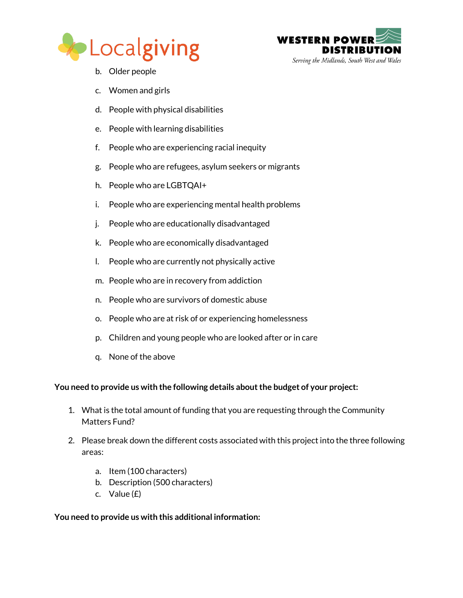

![](_page_2_Picture_1.jpeg)

- b. Older people
- c. Women and girls
- d. People with physical disabilities
- e. People with learning disabilities
- f. People who are experiencing racial inequity
- g. People who are refugees, asylum seekers or migrants
- h. People who are LGBTQAI+
- i. People who are experiencing mental health problems
- j. People who are educationally disadvantaged
- k. People who are economically disadvantaged
- l. People who are currently not physically active
- m. People who are in recovery from addiction
- n. People who are survivors of domestic abuse
- o. People who are at risk of or experiencing homelessness
- p. Children and young people who are looked after or in care
- q. None of the above

### **You need to provide us with the following details about the budget of your project:**

- 1. What is the total amount of funding that you are requesting through the Community Matters Fund?
- 2. Please break down the different costs associated with this project into the three following areas:
	- a. Item (100 characters)
	- b. Description (500 characters)
	- c. Value (£)

### **You need to provide us with this additional information:**